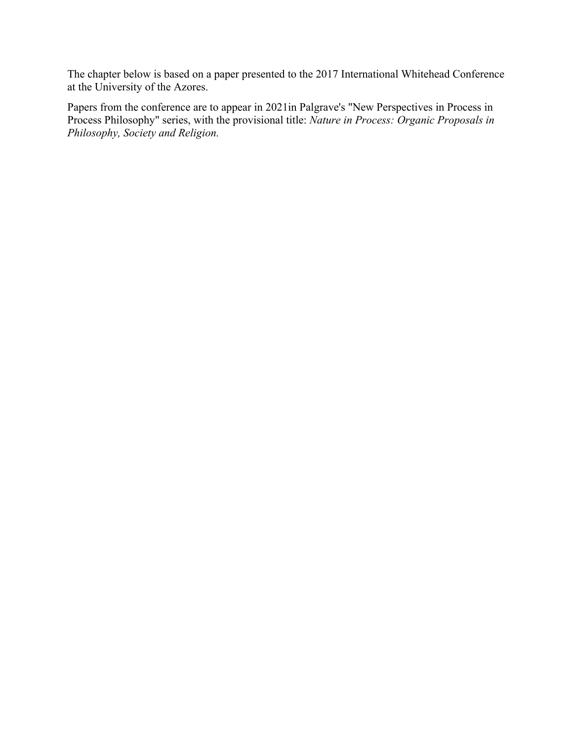The chapter below is based on a paper presented to the 2017 International Whitehead Conference at the University of the Azores.

Papers from the conference are to appear in 2021in Palgrave's "New Perspectives in Process in Process Philosophy" series, with the provisional title: *Nature in Process: Organic Proposals in Philosophy, Society and Religion.*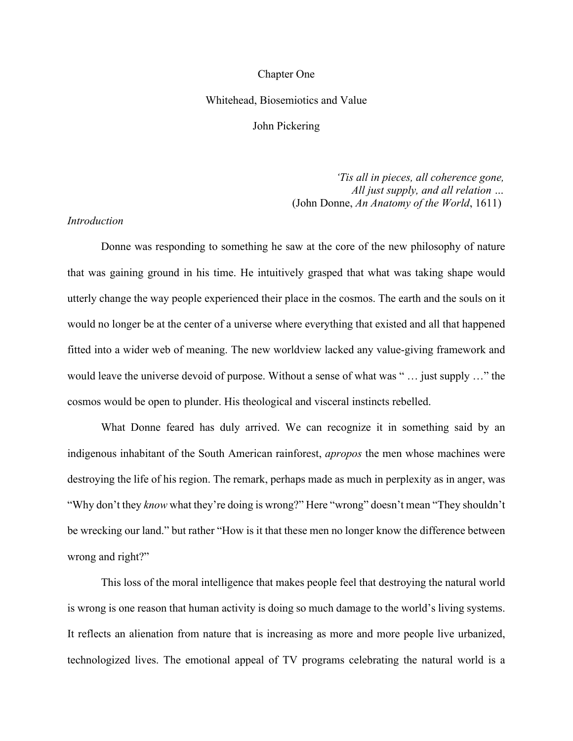#### Chapter One

### Whitehead, Biosemiotics and Value

John Pickering

*'Tis all in pieces, all coherence gone, All just supply, and all relation …* (John Donne, *An Anatomy of the World*, 1611)

# *Introduction*

Donne was responding to something he saw at the core of the new philosophy of nature that was gaining ground in his time. He intuitively grasped that what was taking shape would utterly change the way people experienced their place in the cosmos. The earth and the souls on it would no longer be at the center of a universe where everything that existed and all that happened fitted into a wider web of meaning. The new worldview lacked any value-giving framework and would leave the universe devoid of purpose. Without a sense of what was " … just supply …" the cosmos would be open to plunder. His theological and visceral instincts rebelled.

What Donne feared has duly arrived. We can recognize it in something said by an indigenous inhabitant of the South American rainforest, *apropos* the men whose machines were destroying the life of his region. The remark, perhaps made as much in perplexity as in anger, was "Why don't they *know* what they're doing is wrong?" Here "wrong" doesn't mean "They shouldn't be wrecking our land." but rather "How is it that these men no longer know the difference between wrong and right?"

This loss of the moral intelligence that makes people feel that destroying the natural world is wrong is one reason that human activity is doing so much damage to the world's living systems. It reflects an alienation from nature that is increasing as more and more people live urbanized, technologized lives. The emotional appeal of TV programs celebrating the natural world is a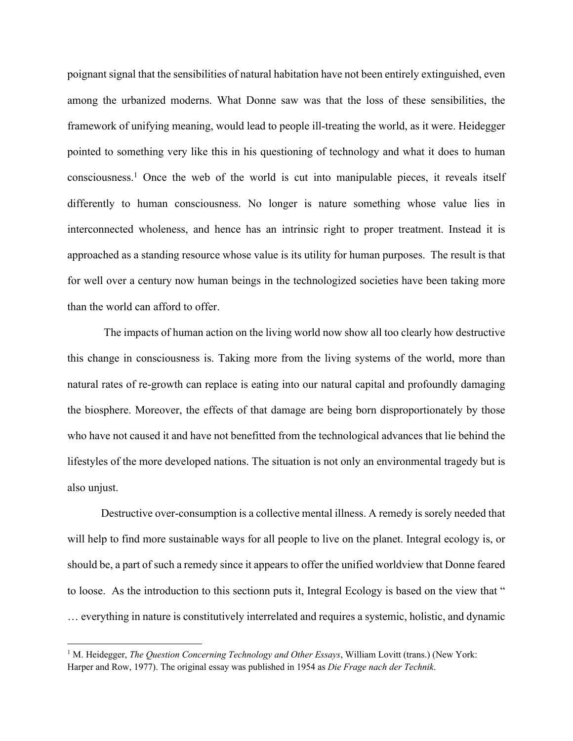poignant signal that the sensibilities of natural habitation have not been entirely extinguished, even among the urbanized moderns. What Donne saw was that the loss of these sensibilities, the framework of unifying meaning, would lead to people ill-treating the world, as it were. Heidegger pointed to something very like this in his questioning of technology and what it does to human consciousness.1 Once the web of the world is cut into manipulable pieces, it reveals itself differently to human consciousness. No longer is nature something whose value lies in interconnected wholeness, and hence has an intrinsic right to proper treatment. Instead it is approached as a standing resource whose value is its utility for human purposes. The result is that for well over a century now human beings in the technologized societies have been taking more than the world can afford to offer.

The impacts of human action on the living world now show all too clearly how destructive this change in consciousness is. Taking more from the living systems of the world, more than natural rates of re-growth can replace is eating into our natural capital and profoundly damaging the biosphere. Moreover, the effects of that damage are being born disproportionately by those who have not caused it and have not benefitted from the technological advances that lie behind the lifestyles of the more developed nations. The situation is not only an environmental tragedy but is also unjust.

Destructive over-consumption is a collective mental illness. A remedy is sorely needed that will help to find more sustainable ways for all people to live on the planet. Integral ecology is, or should be, a part of such a remedy since it appears to offer the unified worldview that Donne feared to loose. As the introduction to this sectionn puts it, Integral Ecology is based on the view that " … everything in nature is constitutively interrelated and requires a systemic, holistic, and dynamic

<sup>1</sup> M. Heidegger, *The Question Concerning Technology and Other Essays*, William Lovitt (trans.) (New York: Harper and Row, 1977). The original essay was published in 1954 as *Die Frage nach der Technik*.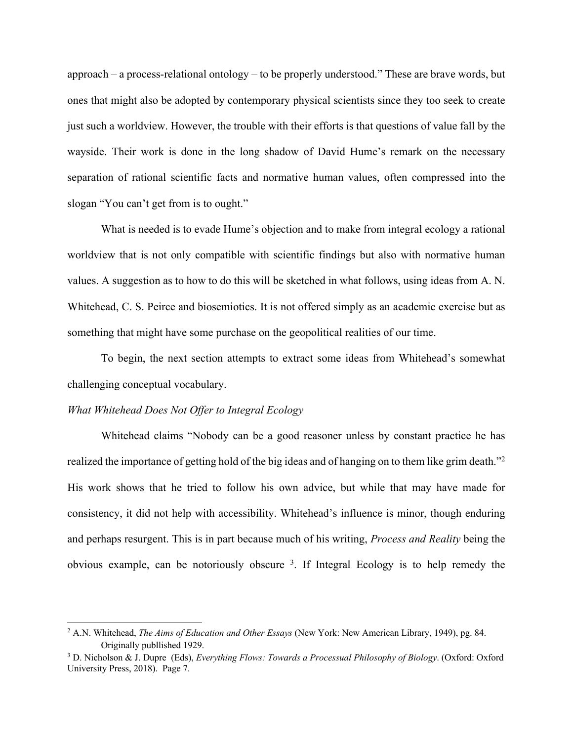approach – a process-relational ontology – to be properly understood." These are brave words, but ones that might also be adopted by contemporary physical scientists since they too seek to create just such a worldview. However, the trouble with their efforts is that questions of value fall by the wayside. Their work is done in the long shadow of David Hume's remark on the necessary separation of rational scientific facts and normative human values, often compressed into the slogan "You can't get from is to ought."

What is needed is to evade Hume's objection and to make from integral ecology a rational worldview that is not only compatible with scientific findings but also with normative human values. A suggestion as to how to do this will be sketched in what follows, using ideas from A. N. Whitehead, C. S. Peirce and biosemiotics. It is not offered simply as an academic exercise but as something that might have some purchase on the geopolitical realities of our time.

To begin, the next section attempts to extract some ideas from Whitehead's somewhat challenging conceptual vocabulary.

#### *What Whitehead Does Not Offer to Integral Ecology*

 $\overline{a}$ 

Whitehead claims "Nobody can be a good reasoner unless by constant practice he has realized the importance of getting hold of the big ideas and of hanging on to them like grim death."<sup>2</sup> His work shows that he tried to follow his own advice, but while that may have made for consistency, it did not help with accessibility. Whitehead's influence is minor, though enduring and perhaps resurgent. This is in part because much of his writing, *Process and Reality* being the obvious example, can be notoriously obscure <sup>3</sup> . If Integral Ecology is to help remedy the

<sup>2</sup> A.N. Whitehead, *The Aims of Education and Other Essays* (New York: New American Library, 1949), pg. 84. Originally publlished 1929.

<sup>3</sup> D. Nicholson & J. Dupre (Eds), *Everything Flows: Towards a Processual Philosophy of Biology*. (Oxford: Oxford University Press, 2018). Page 7.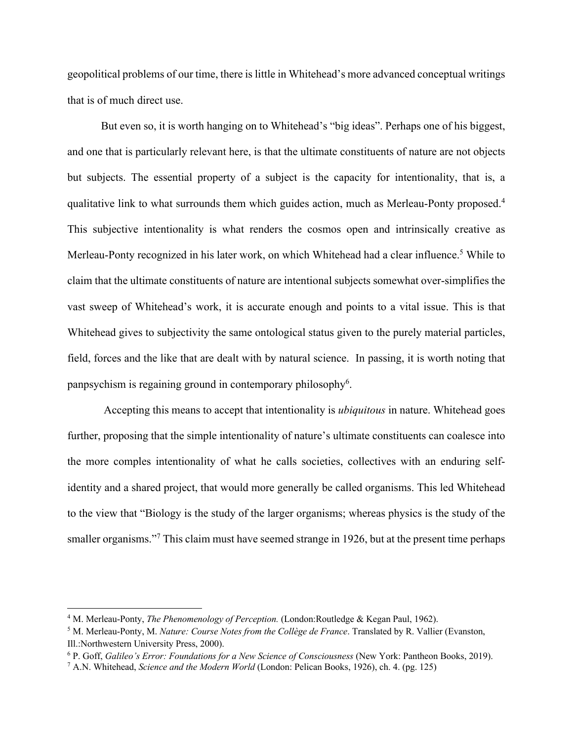geopolitical problems of our time, there is little in Whitehead's more advanced conceptual writings that is of much direct use.

But even so, it is worth hanging on to Whitehead's "big ideas". Perhaps one of his biggest, and one that is particularly relevant here, is that the ultimate constituents of nature are not objects but subjects. The essential property of a subject is the capacity for intentionality, that is, a qualitative link to what surrounds them which guides action, much as Merleau-Ponty proposed.<sup>4</sup> This subjective intentionality is what renders the cosmos open and intrinsically creative as Merleau-Ponty recognized in his later work, on which Whitehead had a clear influence.<sup>5</sup> While to claim that the ultimate constituents of nature are intentional subjects somewhat over-simplifies the vast sweep of Whitehead's work, it is accurate enough and points to a vital issue. This is that Whitehead gives to subjectivity the same ontological status given to the purely material particles, field, forces and the like that are dealt with by natural science. In passing, it is worth noting that panpsychism is regaining ground in contemporary philosophy<sup>6</sup>.

Accepting this means to accept that intentionality is *ubiquitous* in nature. Whitehead goes further, proposing that the simple intentionality of nature's ultimate constituents can coalesce into the more comples intentionality of what he calls societies, collectives with an enduring selfidentity and a shared project, that would more generally be called organisms. This led Whitehead to the view that "Biology is the study of the larger organisms; whereas physics is the study of the smaller organisms."<sup>7</sup> This claim must have seemed strange in 1926, but at the present time perhaps

<sup>4</sup> M. Merleau-Ponty, *The Phenomenology of Perception.* (London:Routledge & Kegan Paul, 1962).

<sup>5</sup> M. Merleau-Ponty, M. *Nature: Course Notes from the Collège de France*. Translated by R. Vallier (Evanston, Ill.:Northwestern University Press, 2000).

<sup>6</sup> P. Goff, *Galileo's Error: Foundations for a New Science of Consciousness* (New York: Pantheon Books, 2019).

<sup>7</sup> A.N. Whitehead, *Science and the Modern World* (London: Pelican Books, 1926), ch. 4. (pg. 125)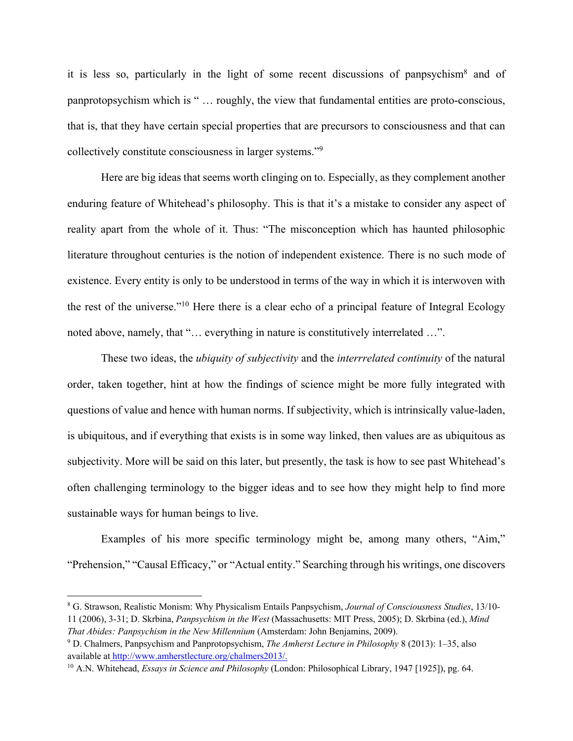it is less so, particularly in the light of some recent discussions of panpsychism<sup>8</sup> and of panprotopsychism which is " … roughly, the view that fundamental entities are proto-conscious, that is, that they have certain special properties that are precursors to consciousness and that can collectively constitute consciousness in larger systems."9

Here are big ideas that seems worth clinging on to. Especially, as they complement another enduring feature of Whitehead's philosophy. This is that it's a mistake to consider any aspect of reality apart from the whole of it. Thus: "The misconception which has haunted philosophic literature throughout centuries is the notion of independent existence. There is no such mode of existence. Every entity is only to be understood in terms of the way in which it is interwoven with the rest of the universe."10 Here there is a clear echo of a principal feature of Integral Ecology noted above, namely, that "… everything in nature is constitutively interrelated …".

These two ideas, the *ubiquity of subjectivity* and the *interrrelated continuity* of the natural order, taken together, hint at how the findings of science might be more fully integrated with questions of value and hence with human norms. If subjectivity, which is intrinsically value-laden, is ubiquitous, and if everything that exists is in some way linked, then values are as ubiquitous as subjectivity. More will be said on this later, but presently, the task is how to see past Whitehead's often challenging terminology to the bigger ideas and to see how they might help to find more sustainable ways for human beings to live.

Examples of his more specific terminology might be, among many others, "Aim," "Prehension," "Causal Efficacy," or "Actual entity." Searching through his writings, one discovers

<sup>8</sup> G. Strawson, Realistic Monism: Why Physicalism Entails Panpsychism, *Journal of Consciousness Studies*, 13/10- 11 (2006), 3-31; D. Skrbina, *Panpsychism in the West* (Massachusetts: MIT Press, 2005); D. Skrbina (ed.), *Mind That Abides: Panpsychism in the New Millennium* (Amsterdam: John Benjamins, 2009).

<sup>9</sup> D. Chalmers, Panpsychism and Panprotopsychism, *The Amherst Lecture in Philosophy* 8 (2013): 1–35, also available at http://www.amherstlecture.org/chalmers2013/.

<sup>10</sup> A.N. Whitehead, *Essays in Science and Philosophy* (London: Philosophical Library, 1947 [1925]), pg. 64.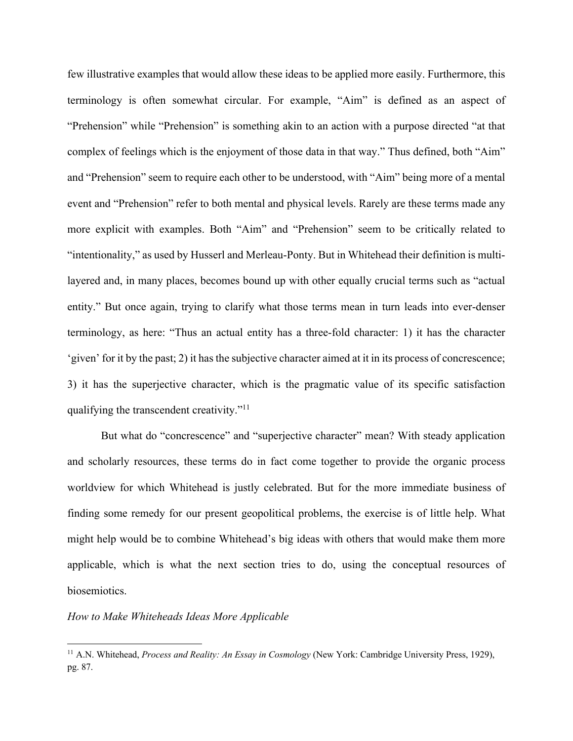few illustrative examples that would allow these ideas to be applied more easily. Furthermore, this terminology is often somewhat circular. For example, "Aim" is defined as an aspect of "Prehension" while "Prehension" is something akin to an action with a purpose directed "at that complex of feelings which is the enjoyment of those data in that way." Thus defined, both "Aim" and "Prehension" seem to require each other to be understood, with "Aim" being more of a mental event and "Prehension" refer to both mental and physical levels. Rarely are these terms made any more explicit with examples. Both "Aim" and "Prehension" seem to be critically related to "intentionality," as used by Husserl and Merleau-Ponty. But in Whitehead their definition is multilayered and, in many places, becomes bound up with other equally crucial terms such as "actual entity." But once again, trying to clarify what those terms mean in turn leads into ever-denser terminology, as here: "Thus an actual entity has a three-fold character: 1) it has the character 'given' for it by the past; 2) it has the subjective character aimed at it in its process of concrescence; 3) it has the superjective character, which is the pragmatic value of its specific satisfaction qualifying the transcendent creativity."11

But what do "concrescence" and "superjective character" mean? With steady application and scholarly resources, these terms do in fact come together to provide the organic process worldview for which Whitehead is justly celebrated. But for the more immediate business of finding some remedy for our present geopolitical problems, the exercise is of little help. What might help would be to combine Whitehead's big ideas with others that would make them more applicable, which is what the next section tries to do, using the conceptual resources of biosemiotics.

## *How to Make Whiteheads Ideas More Applicable*

<sup>11</sup> A.N. Whitehead, *Process and Reality: An Essay in Cosmology* (New York: Cambridge University Press, 1929), pg. 87.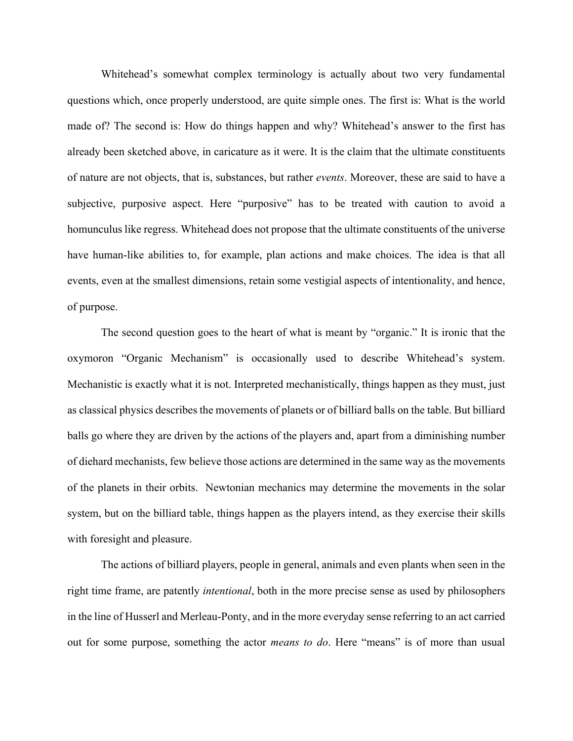Whitehead's somewhat complex terminology is actually about two very fundamental questions which, once properly understood, are quite simple ones. The first is: What is the world made of? The second is: How do things happen and why? Whitehead's answer to the first has already been sketched above, in caricature as it were. It is the claim that the ultimate constituents of nature are not objects, that is, substances, but rather *events*. Moreover, these are said to have a subjective, purposive aspect. Here "purposive" has to be treated with caution to avoid a homunculus like regress. Whitehead does not propose that the ultimate constituents of the universe have human-like abilities to, for example, plan actions and make choices. The idea is that all events, even at the smallest dimensions, retain some vestigial aspects of intentionality, and hence, of purpose.

The second question goes to the heart of what is meant by "organic." It is ironic that the oxymoron "Organic Mechanism" is occasionally used to describe Whitehead's system. Mechanistic is exactly what it is not. Interpreted mechanistically, things happen as they must, just as classical physics describes the movements of planets or of billiard balls on the table. But billiard balls go where they are driven by the actions of the players and, apart from a diminishing number of diehard mechanists, few believe those actions are determined in the same way as the movements of the planets in their orbits. Newtonian mechanics may determine the movements in the solar system, but on the billiard table, things happen as the players intend, as they exercise their skills with foresight and pleasure.

The actions of billiard players, people in general, animals and even plants when seen in the right time frame, are patently *intentional*, both in the more precise sense as used by philosophers in the line of Husserl and Merleau-Ponty, and in the more everyday sense referring to an act carried out for some purpose, something the actor *means to do*. Here "means" is of more than usual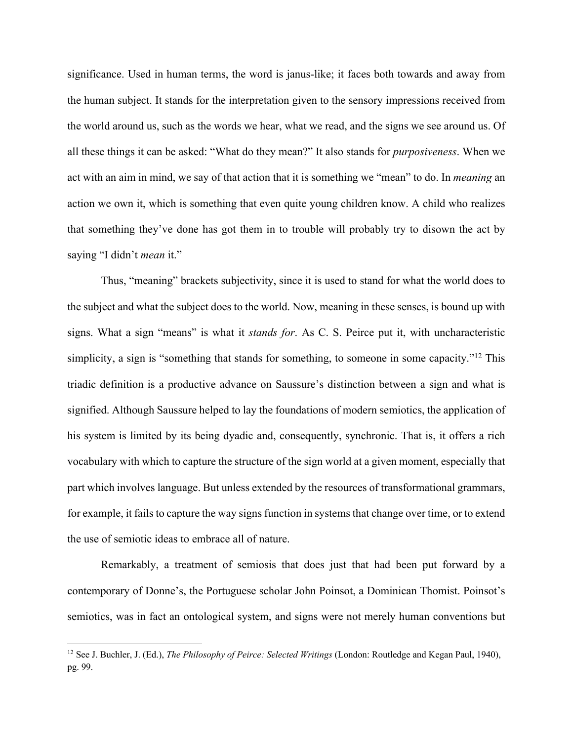significance. Used in human terms, the word is janus-like; it faces both towards and away from the human subject. It stands for the interpretation given to the sensory impressions received from the world around us, such as the words we hear, what we read, and the signs we see around us. Of all these things it can be asked: "What do they mean?" It also stands for *purposiveness*. When we act with an aim in mind, we say of that action that it is something we "mean" to do. In *meaning* an action we own it, which is something that even quite young children know. A child who realizes that something they've done has got them in to trouble will probably try to disown the act by saying "I didn't *mean* it."

Thus, "meaning" brackets subjectivity, since it is used to stand for what the world does to the subject and what the subject does to the world. Now, meaning in these senses, is bound up with signs. What a sign "means" is what it *stands for*. As C. S. Peirce put it, with uncharacteristic simplicity, a sign is "something that stands for something, to someone in some capacity."<sup>12</sup> This triadic definition is a productive advance on Saussure's distinction between a sign and what is signified. Although Saussure helped to lay the foundations of modern semiotics, the application of his system is limited by its being dyadic and, consequently, synchronic. That is, it offers a rich vocabulary with which to capture the structure of the sign world at a given moment, especially that part which involves language. But unless extended by the resources of transformational grammars, for example, it fails to capture the way signs function in systems that change over time, or to extend the use of semiotic ideas to embrace all of nature.

Remarkably, a treatment of semiosis that does just that had been put forward by a contemporary of Donne's, the Portuguese scholar John Poinsot, a Dominican Thomist. Poinsot's semiotics, was in fact an ontological system, and signs were not merely human conventions but

<sup>&</sup>lt;sup>12</sup> See J. Buchler, J. (Ed.), *The Philosophy of Peirce: Selected Writings* (London: Routledge and Kegan Paul, 1940), pg. 99.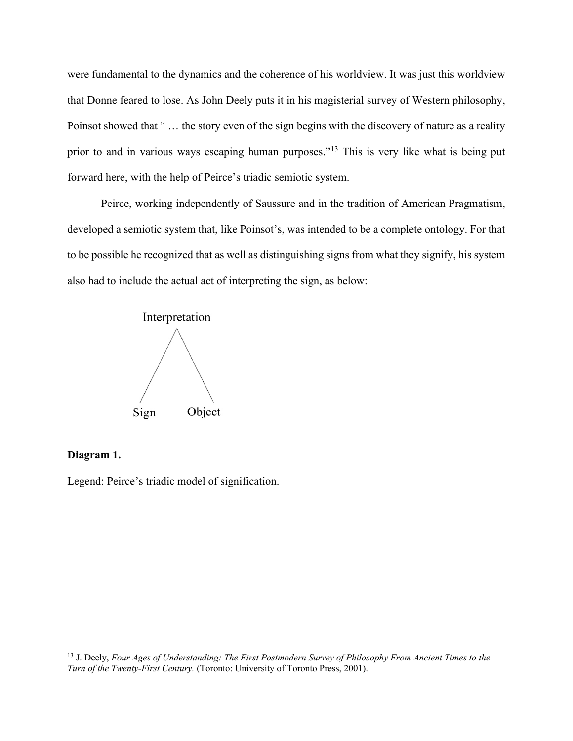were fundamental to the dynamics and the coherence of his worldview. It was just this worldview that Donne feared to lose. As John Deely puts it in his magisterial survey of Western philosophy, Poinsot showed that " … the story even of the sign begins with the discovery of nature as a reality prior to and in various ways escaping human purposes."<sup>13</sup> This is very like what is being put forward here, with the help of Peirce's triadic semiotic system.

Peirce, working independently of Saussure and in the tradition of American Pragmatism, developed a semiotic system that, like Poinsot's, was intended to be a complete ontology. For that to be possible he recognized that as well as distinguishing signs from what they signify, his system also had to include the actual act of interpreting the sign, as below:



# **Diagram 1.**

l

Legend: Peirce's triadic model of signification.

<sup>13</sup> J. Deely, *Four Ages of Understanding: The First Postmodern Survey of Philosophy From Ancient Times to the Turn of the Twenty-First Century.* (Toronto: University of Toronto Press, 2001).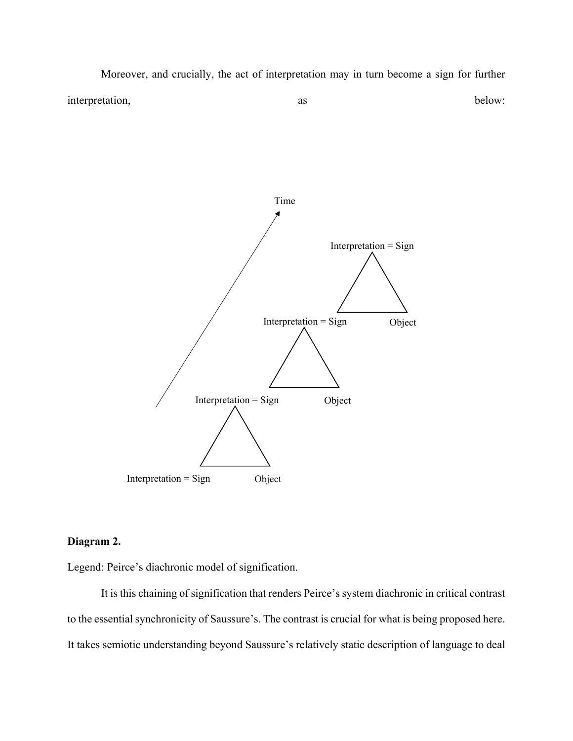Moreover, and crucially, the act of interpretation may in turn become a sign for further interpretation, as as below:



# **Diagram 2.**

Legend: Peirce's diachronic model of signification.

It is this chaining of signification that renders Peirce's system diachronic in critical contrast to the essential synchronicity of Saussure's. The contrast is crucial for what is being proposed here. It takes semiotic understanding beyond Saussure's relatively static description of language to deal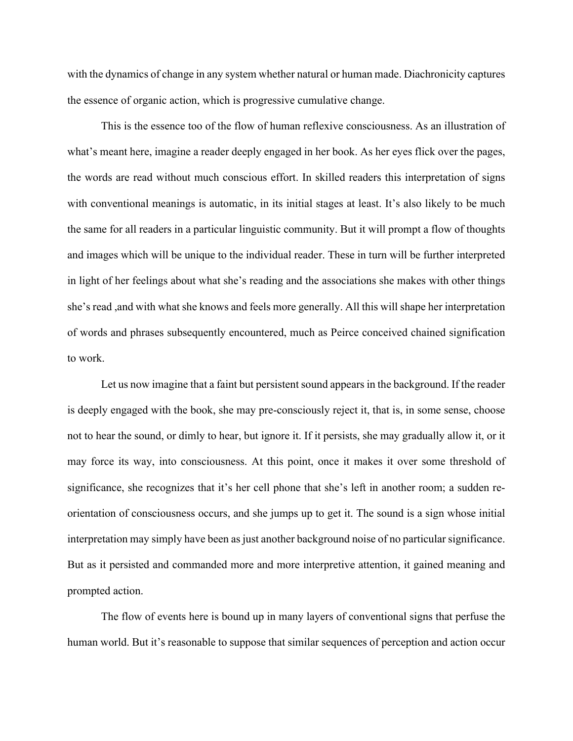with the dynamics of change in any system whether natural or human made. Diachronicity captures the essence of organic action, which is progressive cumulative change.

This is the essence too of the flow of human reflexive consciousness. As an illustration of what's meant here, imagine a reader deeply engaged in her book. As her eyes flick over the pages, the words are read without much conscious effort. In skilled readers this interpretation of signs with conventional meanings is automatic, in its initial stages at least. It's also likely to be much the same for all readers in a particular linguistic community. But it will prompt a flow of thoughts and images which will be unique to the individual reader. These in turn will be further interpreted in light of her feelings about what she's reading and the associations she makes with other things she's read ,and with what she knows and feels more generally. All this will shape her interpretation of words and phrases subsequently encountered, much as Peirce conceived chained signification to work.

Let us now imagine that a faint but persistent sound appears in the background. If the reader is deeply engaged with the book, she may pre-consciously reject it, that is, in some sense, choose not to hear the sound, or dimly to hear, but ignore it. If it persists, she may gradually allow it, or it may force its way, into consciousness. At this point, once it makes it over some threshold of significance, she recognizes that it's her cell phone that she's left in another room; a sudden reorientation of consciousness occurs, and she jumps up to get it. The sound is a sign whose initial interpretation may simply have been as just another background noise of no particular significance. But as it persisted and commanded more and more interpretive attention, it gained meaning and prompted action.

The flow of events here is bound up in many layers of conventional signs that perfuse the human world. But it's reasonable to suppose that similar sequences of perception and action occur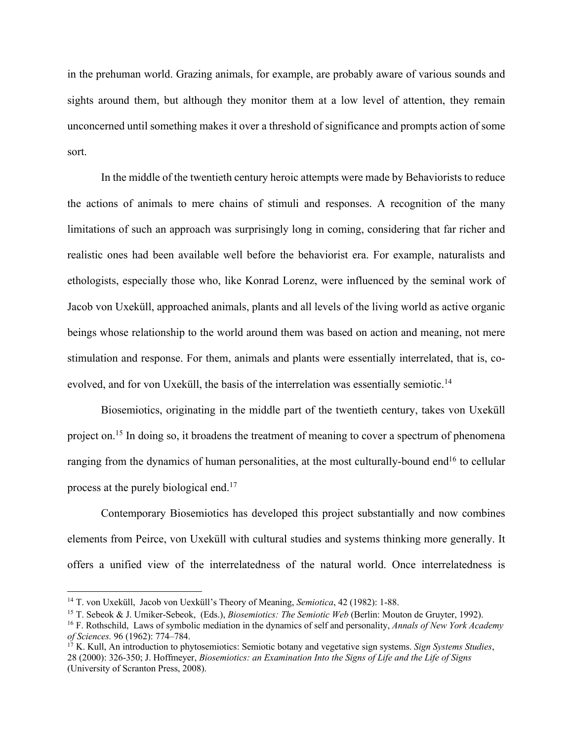in the prehuman world. Grazing animals, for example, are probably aware of various sounds and sights around them, but although they monitor them at a low level of attention, they remain unconcerned until something makes it over a threshold of significance and prompts action of some sort.

In the middle of the twentieth century heroic attempts were made by Behaviorists to reduce the actions of animals to mere chains of stimuli and responses. A recognition of the many limitations of such an approach was surprisingly long in coming, considering that far richer and realistic ones had been available well before the behaviorist era. For example, naturalists and ethologists, especially those who, like Konrad Lorenz, were influenced by the seminal work of Jacob von Uxeküll, approached animals, plants and all levels of the living world as active organic beings whose relationship to the world around them was based on action and meaning, not mere stimulation and response. For them, animals and plants were essentially interrelated, that is, coevolved, and for von Uxeküll, the basis of the interrelation was essentially semiotic.<sup>14</sup>

Biosemiotics, originating in the middle part of the twentieth century, takes von Uxeküll project on.<sup>15</sup> In doing so, it broadens the treatment of meaning to cover a spectrum of phenomena ranging from the dynamics of human personalities, at the most culturally-bound end<sup>16</sup> to cellular process at the purely biological end.<sup>17</sup>

Contemporary Biosemiotics has developed this project substantially and now combines elements from Peirce, von Uxeküll with cultural studies and systems thinking more generally. It offers a unified view of the interrelatedness of the natural world. Once interrelatedness is

<sup>14</sup> T. von Uxeküll, Jacob von Uexküll's Theory of Meaning, *Semiotica*, 42 (1982): 1-88.

<sup>15</sup> T. Sebeok & J. Umiker-Sebeok, (Eds.), *Biosemiotics: The Semiotic Web* (Berlin: Mouton de Gruyter, 1992).

<sup>16</sup> F. Rothschild, Laws of symbolic mediation in the dynamics of self and personality, *Annals of New York Academy of Sciences.* 96 (1962): 774–784.

<sup>&</sup>lt;sup>17</sup> K. Kull, An introduction to phytosemiotics: Semiotic botany and vegetative sign systems. *Sign Systems Studies*, 28 (2000): 326-350; J. Hoffmeyer, *Biosemiotics: an Examination Into the Signs of Life and the Life of Signs* (University of Scranton Press, 2008).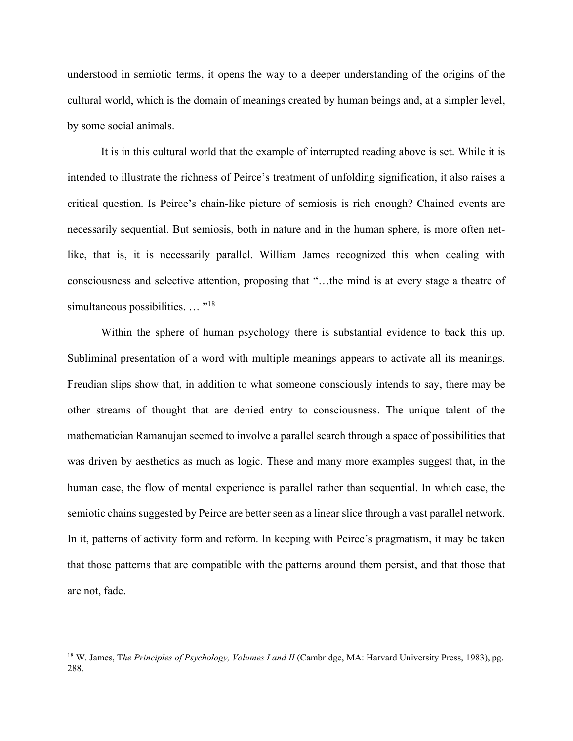understood in semiotic terms, it opens the way to a deeper understanding of the origins of the cultural world, which is the domain of meanings created by human beings and, at a simpler level, by some social animals.

It is in this cultural world that the example of interrupted reading above is set. While it is intended to illustrate the richness of Peirce's treatment of unfolding signification, it also raises a critical question. Is Peirce's chain-like picture of semiosis is rich enough? Chained events are necessarily sequential. But semiosis, both in nature and in the human sphere, is more often netlike, that is, it is necessarily parallel. William James recognized this when dealing with consciousness and selective attention, proposing that "…the mind is at every stage a theatre of simultaneous possibilities. ... "<sup>18</sup>

Within the sphere of human psychology there is substantial evidence to back this up. Subliminal presentation of a word with multiple meanings appears to activate all its meanings. Freudian slips show that, in addition to what someone consciously intends to say, there may be other streams of thought that are denied entry to consciousness. The unique talent of the mathematician Ramanujan seemed to involve a parallel search through a space of possibilities that was driven by aesthetics as much as logic. These and many more examples suggest that, in the human case, the flow of mental experience is parallel rather than sequential. In which case, the semiotic chains suggested by Peirce are better seen as a linear slice through a vast parallel network. In it, patterns of activity form and reform. In keeping with Peirce's pragmatism, it may be taken that those patterns that are compatible with the patterns around them persist, and that those that are not, fade.

<sup>&</sup>lt;sup>18</sup> W. James, The Principles of Psychology, Volumes I and II (Cambridge, MA: Harvard University Press, 1983), pg. 288.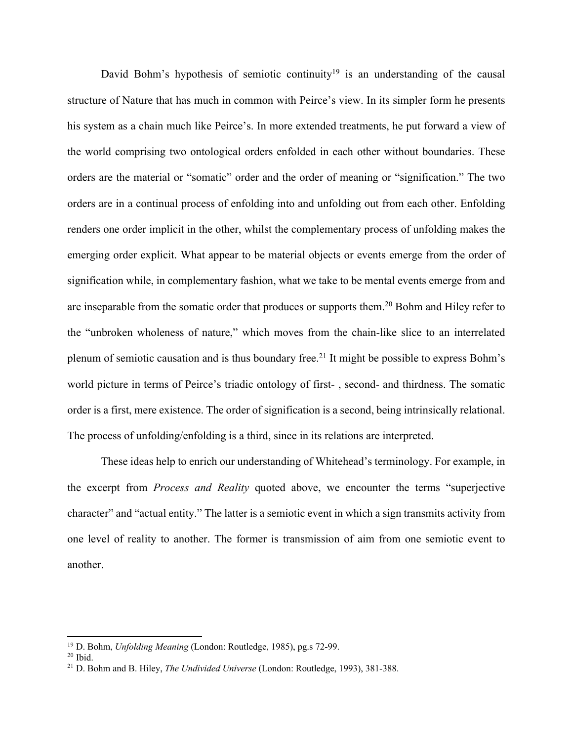David Bohm's hypothesis of semiotic continuity<sup>19</sup> is an understanding of the causal structure of Nature that has much in common with Peirce's view. In its simpler form he presents his system as a chain much like Peirce's. In more extended treatments, he put forward a view of the world comprising two ontological orders enfolded in each other without boundaries. These orders are the material or "somatic" order and the order of meaning or "signification." The two orders are in a continual process of enfolding into and unfolding out from each other. Enfolding renders one order implicit in the other, whilst the complementary process of unfolding makes the emerging order explicit. What appear to be material objects or events emerge from the order of signification while, in complementary fashion, what we take to be mental events emerge from and are inseparable from the somatic order that produces or supports them.20 Bohm and Hiley refer to the "unbroken wholeness of nature," which moves from the chain-like slice to an interrelated plenum of semiotic causation and is thus boundary free.<sup>21</sup> It might be possible to express Bohm's world picture in terms of Peirce's triadic ontology of first- , second- and thirdness. The somatic order is a first, mere existence. The order of signification is a second, being intrinsically relational. The process of unfolding/enfolding is a third, since in its relations are interpreted.

These ideas help to enrich our understanding of Whitehead's terminology. For example, in the excerpt from *Process and Reality* quoted above, we encounter the terms "superjective character" and "actual entity." The latter is a semiotic event in which a sign transmits activity from one level of reality to another. The former is transmission of aim from one semiotic event to another.

 $\overline{\phantom{a}}$ 

<sup>19</sup> D. Bohm, *Unfolding Meaning* (London: Routledge, 1985), pg.s 72-99.

 $20$  Ibid.

<sup>21</sup> D. Bohm and B. Hiley, *The Undivided Universe* (London: Routledge, 1993), 381-388.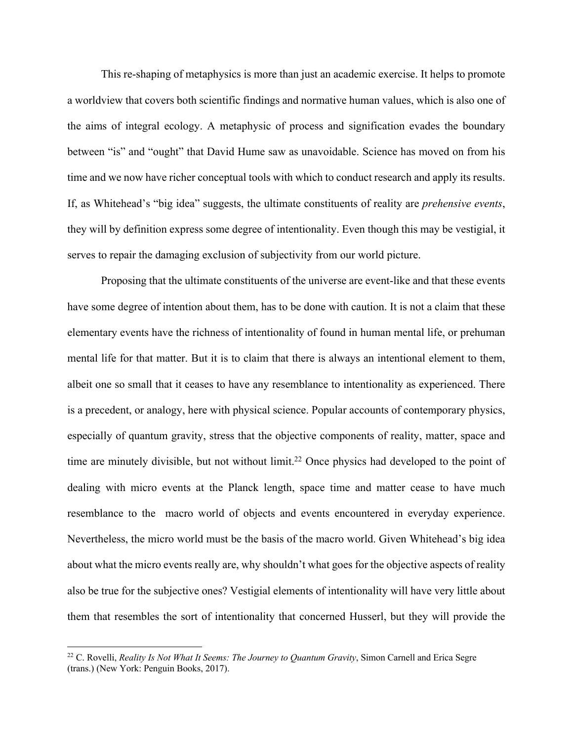This re-shaping of metaphysics is more than just an academic exercise. It helps to promote a worldview that covers both scientific findings and normative human values, which is also one of the aims of integral ecology. A metaphysic of process and signification evades the boundary between "is" and "ought" that David Hume saw as unavoidable. Science has moved on from his time and we now have richer conceptual tools with which to conduct research and apply its results. If, as Whitehead's "big idea" suggests, the ultimate constituents of reality are *prehensive events*, they will by definition express some degree of intentionality. Even though this may be vestigial, it serves to repair the damaging exclusion of subjectivity from our world picture.

Proposing that the ultimate constituents of the universe are event-like and that these events have some degree of intention about them, has to be done with caution. It is not a claim that these elementary events have the richness of intentionality of found in human mental life, or prehuman mental life for that matter. But it is to claim that there is always an intentional element to them, albeit one so small that it ceases to have any resemblance to intentionality as experienced. There is a precedent, or analogy, here with physical science. Popular accounts of contemporary physics, especially of quantum gravity, stress that the objective components of reality, matter, space and time are minutely divisible, but not without limit.<sup>22</sup> Once physics had developed to the point of dealing with micro events at the Planck length, space time and matter cease to have much resemblance to the macro world of objects and events encountered in everyday experience. Nevertheless, the micro world must be the basis of the macro world. Given Whitehead's big idea about what the micro events really are, why shouldn't what goes for the objective aspects of reality also be true for the subjective ones? Vestigial elements of intentionality will have very little about them that resembles the sort of intentionality that concerned Husserl, but they will provide the

<sup>&</sup>lt;sup>22</sup> C. Rovelli, *Reality Is Not What It Seems: The Journey to Quantum Gravity*, Simon Carnell and Erica Segre (trans.) (New York: Penguin Books, 2017).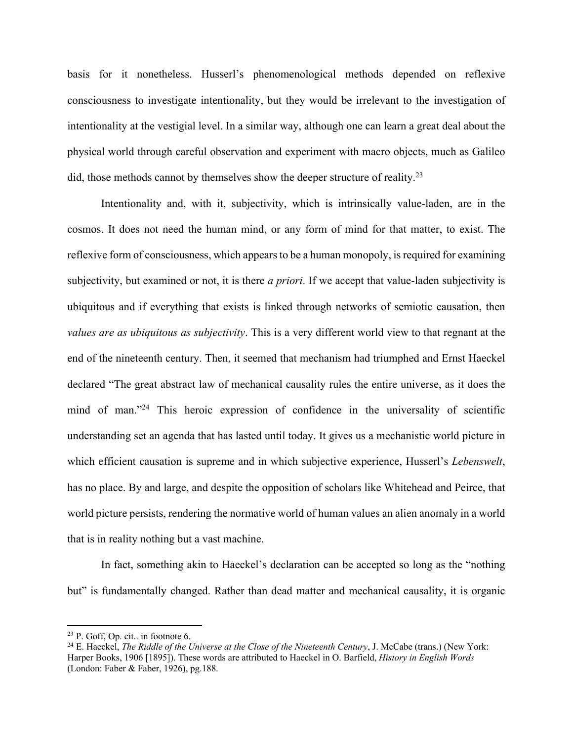basis for it nonetheless. Husserl's phenomenological methods depended on reflexive consciousness to investigate intentionality, but they would be irrelevant to the investigation of intentionality at the vestigial level. In a similar way, although one can learn a great deal about the physical world through careful observation and experiment with macro objects, much as Galileo did, those methods cannot by themselves show the deeper structure of reality.23

Intentionality and, with it, subjectivity, which is intrinsically value-laden, are in the cosmos. It does not need the human mind, or any form of mind for that matter, to exist. The reflexive form of consciousness, which appears to be a human monopoly, is required for examining subjectivity, but examined or not, it is there *a priori*. If we accept that value-laden subjectivity is ubiquitous and if everything that exists is linked through networks of semiotic causation, then *values are as ubiquitous as subjectivity*. This is a very different world view to that regnant at the end of the nineteenth century. Then, it seemed that mechanism had triumphed and Ernst Haeckel declared "The great abstract law of mechanical causality rules the entire universe, as it does the mind of man."<sup>24</sup> This heroic expression of confidence in the universality of scientific understanding set an agenda that has lasted until today. It gives us a mechanistic world picture in which efficient causation is supreme and in which subjective experience, Husserl's *Lebenswelt*, has no place. By and large, and despite the opposition of scholars like Whitehead and Peirce, that world picture persists, rendering the normative world of human values an alien anomaly in a world that is in reality nothing but a vast machine.

In fact, something akin to Haeckel's declaration can be accepted so long as the "nothing but" is fundamentally changed. Rather than dead matter and mechanical causality, it is organic

 $\overline{a}$ 

<sup>&</sup>lt;sup>23</sup> P. Goff, Op. cit.. in footnote 6.<br><sup>24</sup> E. Haeckel, *The Riddle of the Universe at the Close of the Nineteenth Century*, J. McCabe (trans.) (New York: Harper Books, 1906 [1895]). These words are attributed to Haeckel in O. Barfield, *History in English Words* (London: Faber & Faber, 1926), pg.188.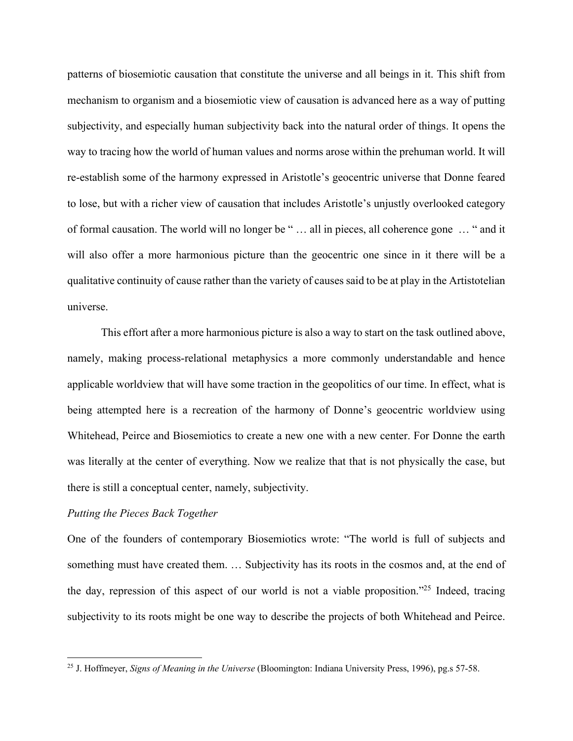patterns of biosemiotic causation that constitute the universe and all beings in it. This shift from mechanism to organism and a biosemiotic view of causation is advanced here as a way of putting subjectivity, and especially human subjectivity back into the natural order of things. It opens the way to tracing how the world of human values and norms arose within the prehuman world. It will re-establish some of the harmony expressed in Aristotle's geocentric universe that Donne feared to lose, but with a richer view of causation that includes Aristotle's unjustly overlooked category of formal causation. The world will no longer be " … all in pieces, all coherence gone … " and it will also offer a more harmonious picture than the geocentric one since in it there will be a qualitative continuity of cause rather than the variety of causes said to be at play in the Artistotelian universe.

This effort after a more harmonious picture is also a way to start on the task outlined above, namely, making process-relational metaphysics a more commonly understandable and hence applicable worldview that will have some traction in the geopolitics of our time. In effect, what is being attempted here is a recreation of the harmony of Donne's geocentric worldview using Whitehead, Peirce and Biosemiotics to create a new one with a new center. For Donne the earth was literally at the center of everything. Now we realize that that is not physically the case, but there is still a conceptual center, namely, subjectivity.

# *Putting the Pieces Back Together*

l

One of the founders of contemporary Biosemiotics wrote: "The world is full of subjects and something must have created them. … Subjectivity has its roots in the cosmos and, at the end of the day, repression of this aspect of our world is not a viable proposition."25 Indeed, tracing subjectivity to its roots might be one way to describe the projects of both Whitehead and Peirce.

<sup>25</sup> J. Hoffmeyer, *Signs of Meaning in the Universe* (Bloomington: Indiana University Press, 1996), pg.s 57-58.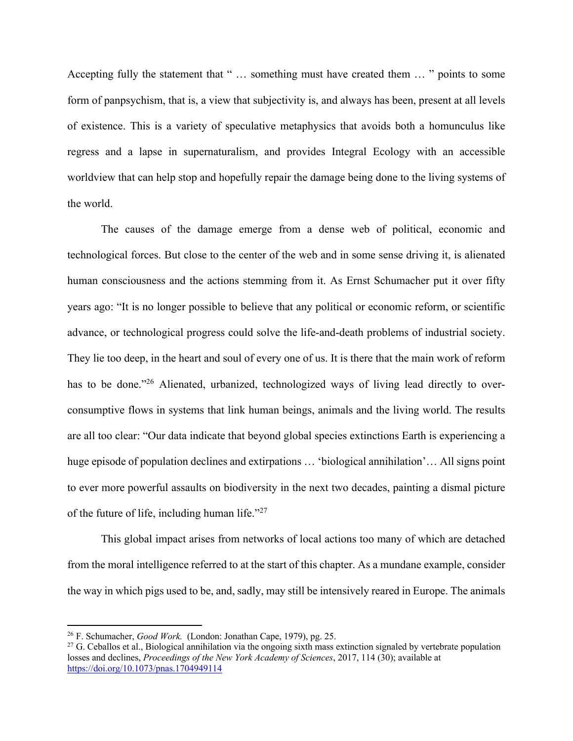Accepting fully the statement that " … something must have created them … " points to some form of panpsychism, that is, a view that subjectivity is, and always has been, present at all levels of existence. This is a variety of speculative metaphysics that avoids both a homunculus like regress and a lapse in supernaturalism, and provides Integral Ecology with an accessible worldview that can help stop and hopefully repair the damage being done to the living systems of the world.

The causes of the damage emerge from a dense web of political, economic and technological forces. But close to the center of the web and in some sense driving it, is alienated human consciousness and the actions stemming from it. As Ernst Schumacher put it over fifty years ago: "It is no longer possible to believe that any political or economic reform, or scientific advance, or technological progress could solve the life-and-death problems of industrial society. They lie too deep, in the heart and soul of every one of us. It is there that the main work of reform has to be done."<sup>26</sup> Alienated, urbanized, technologized ways of living lead directly to overconsumptive flows in systems that link human beings, animals and the living world. The results are all too clear: "Our data indicate that beyond global species extinctions Earth is experiencing a huge episode of population declines and extirpations ... 'biological annihilation'... All signs point to ever more powerful assaults on biodiversity in the next two decades, painting a dismal picture of the future of life, including human life."27

This global impact arises from networks of local actions too many of which are detached from the moral intelligence referred to at the start of this chapter. As a mundane example, consider the way in which pigs used to be, and, sadly, may still be intensively reared in Europe. The animals

 $\overline{a}$ 

<sup>&</sup>lt;sup>26</sup> F. Schumacher, *Good Work.* (London: Jonathan Cape, 1979), pg. 25.<br><sup>27</sup> G. Ceballos et al., Biological annihilation via the ongoing sixth mass extinction signaled by vertebrate population losses and declines, *Proceedings of the New York Academy of Sciences*, 2017, 114 (30); available at https://doi.org/10.1073/pnas.1704949114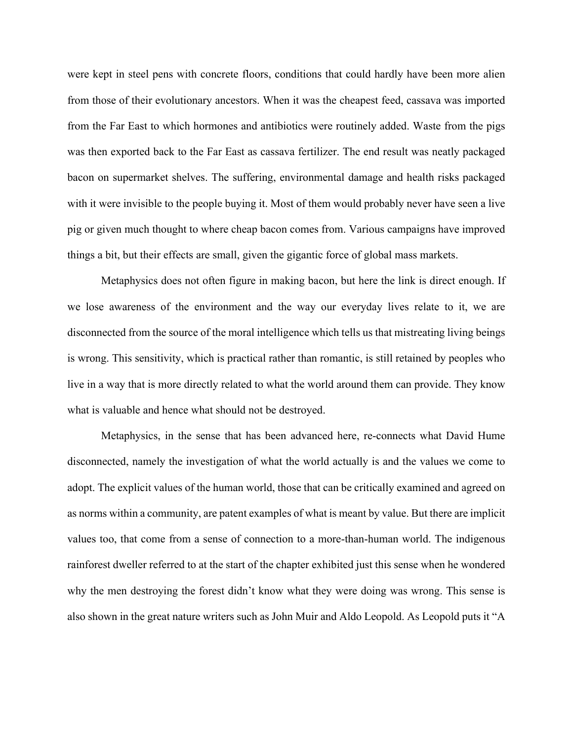were kept in steel pens with concrete floors, conditions that could hardly have been more alien from those of their evolutionary ancestors. When it was the cheapest feed, cassava was imported from the Far East to which hormones and antibiotics were routinely added. Waste from the pigs was then exported back to the Far East as cassava fertilizer. The end result was neatly packaged bacon on supermarket shelves. The suffering, environmental damage and health risks packaged with it were invisible to the people buying it. Most of them would probably never have seen a live pig or given much thought to where cheap bacon comes from. Various campaigns have improved things a bit, but their effects are small, given the gigantic force of global mass markets.

Metaphysics does not often figure in making bacon, but here the link is direct enough. If we lose awareness of the environment and the way our everyday lives relate to it, we are disconnected from the source of the moral intelligence which tells us that mistreating living beings is wrong. This sensitivity, which is practical rather than romantic, is still retained by peoples who live in a way that is more directly related to what the world around them can provide. They know what is valuable and hence what should not be destroyed.

Metaphysics, in the sense that has been advanced here, re-connects what David Hume disconnected, namely the investigation of what the world actually is and the values we come to adopt. The explicit values of the human world, those that can be critically examined and agreed on as norms within a community, are patent examples of what is meant by value. But there are implicit values too, that come from a sense of connection to a more-than-human world. The indigenous rainforest dweller referred to at the start of the chapter exhibited just this sense when he wondered why the men destroying the forest didn't know what they were doing was wrong. This sense is also shown in the great nature writers such as John Muir and Aldo Leopold. As Leopold puts it "A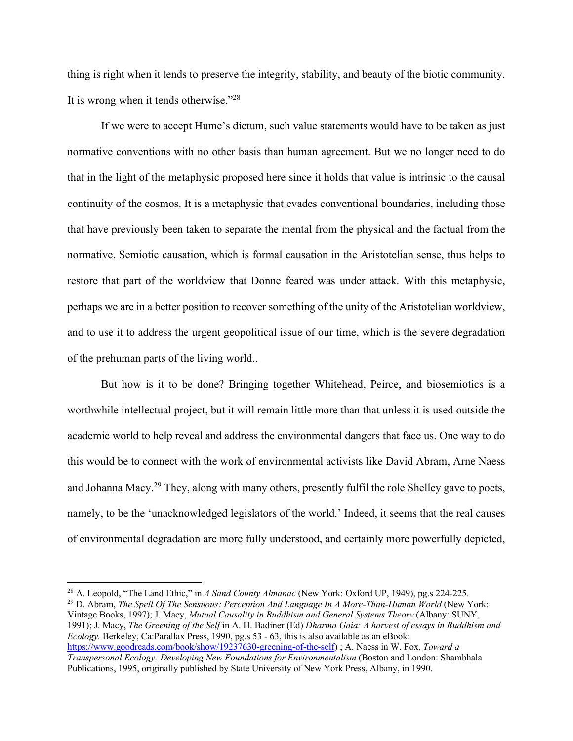thing is right when it tends to preserve the integrity, stability, and beauty of the biotic community. It is wrong when it tends otherwise."28

If we were to accept Hume's dictum, such value statements would have to be taken as just normative conventions with no other basis than human agreement. But we no longer need to do that in the light of the metaphysic proposed here since it holds that value is intrinsic to the causal continuity of the cosmos. It is a metaphysic that evades conventional boundaries, including those that have previously been taken to separate the mental from the physical and the factual from the normative. Semiotic causation, which is formal causation in the Aristotelian sense, thus helps to restore that part of the worldview that Donne feared was under attack. With this metaphysic, perhaps we are in a better position to recover something of the unity of the Aristotelian worldview, and to use it to address the urgent geopolitical issue of our time, which is the severe degradation of the prehuman parts of the living world..

But how is it to be done? Bringing together Whitehead, Peirce, and biosemiotics is a worthwhile intellectual project, but it will remain little more than that unless it is used outside the academic world to help reveal and address the environmental dangers that face us. One way to do this would be to connect with the work of environmental activists like David Abram, Arne Naess and Johanna Macy.<sup>29</sup> They, along with many others, presently fulfil the role Shelley gave to poets, namely, to be the 'unacknowledged legislators of the world.' Indeed, it seems that the real causes of environmental degradation are more fully understood, and certainly more powerfully depicted,

 $\overline{\phantom{a}}$ 

<sup>29</sup> D. Abram, *The Spell Of The Sensuous: Perception And Language In A More-Than-Human World* (New York: Vintage Books, 1997); J. Macy, *Mutual Causality in Buddhism and General Systems Theory* (Albany: SUNY, 1991); J. Macy, *The Greening of the Self* in A. H. Badiner (Ed) *Dharma Gaia: A harvest of essays in Buddhism and Ecology.* Berkeley, Ca:Parallax Press, 1990, pg.s 53 - 63, this is also available as an eBook: https://www.goodreads.com/book/show/19237630-greening-of-the-self) ; A. Naess in W. Fox, *Toward a Transpersonal Ecology: Developing New Foundations for Environmentalism* (Boston and London: Shambhala Publications, 1995, originally published by State University of New York Press, Albany, in 1990.

<sup>28</sup> A. Leopold, "The Land Ethic," in *A Sand County Almanac* (New York: Oxford UP, 1949), pg.s 224-225.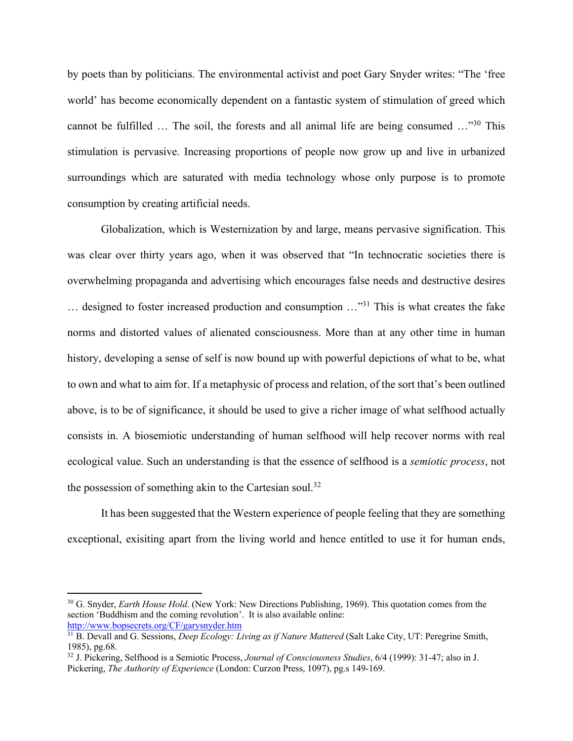by poets than by politicians. The environmental activist and poet Gary Snyder writes: "The 'free world' has become economically dependent on a fantastic system of stimulation of greed which cannot be fulfilled … The soil, the forests and all animal life are being consumed …"30 This stimulation is pervasive. Increasing proportions of people now grow up and live in urbanized surroundings which are saturated with media technology whose only purpose is to promote consumption by creating artificial needs.

Globalization, which is Westernization by and large, means pervasive signification. This was clear over thirty years ago, when it was observed that "In technocratic societies there is overwhelming propaganda and advertising which encourages false needs and destructive desires … designed to foster increased production and consumption …"31 This is what creates the fake norms and distorted values of alienated consciousness. More than at any other time in human history, developing a sense of self is now bound up with powerful depictions of what to be, what to own and what to aim for. If a metaphysic of process and relation, of the sort that's been outlined above, is to be of significance, it should be used to give a richer image of what selfhood actually consists in. A biosemiotic understanding of human selfhood will help recover norms with real ecological value. Such an understanding is that the essence of selfhood is a *semiotic process*, not the possession of something akin to the Cartesian soul.<sup>32</sup>

It has been suggested that the Western experience of people feeling that they are something exceptional, exisiting apart from the living world and hence entitled to use it for human ends,

<sup>&</sup>lt;sup>30</sup> G. Snyder, *Earth House Hold*. (New York: New Directions Publishing, 1969). This quotation comes from the section 'Buddhism and the coming revolution'. It is also available online: http://www.bopsecrets.org/CF/garysnyder.htm

<sup>31</sup> B. Devall and G. Sessions, *Deep Ecology: Living as if Nature Mattered* (Salt Lake City, UT: Peregrine Smith, 1985), pg.68.

<sup>32</sup> J. Pickering, Selfhood is a Semiotic Process, *Journal of Consciousness Studies*, 6/4 (1999): 31-47; also in J. Pickering, *The Authority of Experience* (London: Curzon Press, 1097), pg.s 149-169.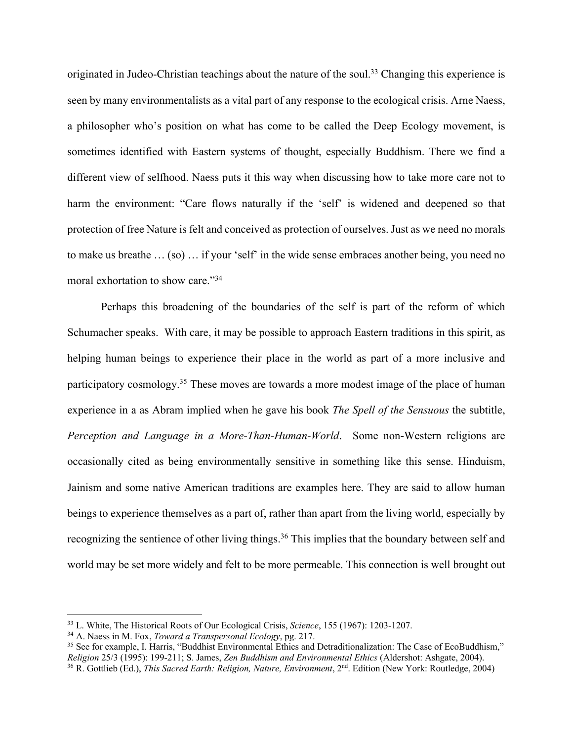originated in Judeo-Christian teachings about the nature of the soul.<sup>33</sup> Changing this experience is seen by many environmentalists as a vital part of any response to the ecological crisis. Arne Naess, a philosopher who's position on what has come to be called the Deep Ecology movement, is sometimes identified with Eastern systems of thought, especially Buddhism. There we find a different view of selfhood. Naess puts it this way when discussing how to take more care not to harm the environment: "Care flows naturally if the 'self' is widened and deepened so that protection of free Nature is felt and conceived as protection of ourselves. Just as we need no morals to make us breathe … (so) … if your 'self' in the wide sense embraces another being, you need no moral exhortation to show care."34

Perhaps this broadening of the boundaries of the self is part of the reform of which Schumacher speaks. With care, it may be possible to approach Eastern traditions in this spirit, as helping human beings to experience their place in the world as part of a more inclusive and participatory cosmology.<sup>35</sup> These moves are towards a more modest image of the place of human experience in a as Abram implied when he gave his book *The Spell of the Sensuous* the subtitle, *Perception and Language in a More-Than-Human-World*. Some non-Western religions are occasionally cited as being environmentally sensitive in something like this sense. Hinduism, Jainism and some native American traditions are examples here. They are said to allow human beings to experience themselves as a part of, rather than apart from the living world, especially by recognizing the sentience of other living things.<sup>36</sup> This implies that the boundary between self and world may be set more widely and felt to be more permeable. This connection is well brought out

<sup>33</sup> L. White, The Historical Roots of Our Ecological Crisis, *Science*, 155 (1967): 1203-1207.

<sup>34</sup> A. Naess in M. Fox, *Toward a Transpersonal Ecology*, pg. 217.

<sup>&</sup>lt;sup>35</sup> See for example, I. Harris, "Buddhist Environmental Ethics and Detraditionalization: The Case of EcoBuddhism,"<br>Religion 25/3 (1995): 199-211; S. James, Zen Buddhism and Environmental Ethics (Aldershot: Ashgate, 2004). <sup>36</sup> R. Gottlieb (Ed.), This Sacred Earth: Religion, Nature, Environment, 2<sup>nd</sup>. Edition (New York: Routledge, 2004)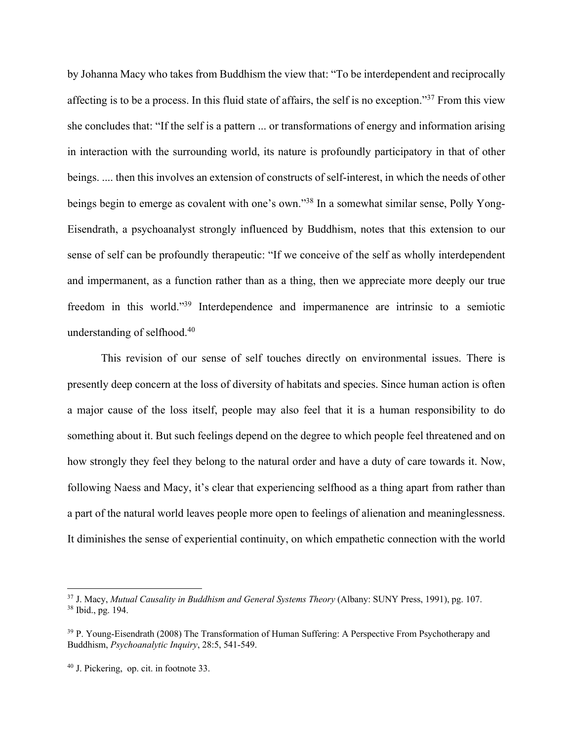by Johanna Macy who takes from Buddhism the view that: "To be interdependent and reciprocally affecting is to be a process. In this fluid state of affairs, the self is no exception."37 From this view she concludes that: "If the self is a pattern ... or transformations of energy and information arising in interaction with the surrounding world, its nature is profoundly participatory in that of other beings. .... then this involves an extension of constructs of self-interest, in which the needs of other beings begin to emerge as covalent with one's own."38 In a somewhat similar sense, Polly Yong-Eisendrath, a psychoanalyst strongly influenced by Buddhism, notes that this extension to our sense of self can be profoundly therapeutic: "If we conceive of the self as wholly interdependent and impermanent, as a function rather than as a thing, then we appreciate more deeply our true freedom in this world."39 Interdependence and impermanence are intrinsic to a semiotic understanding of selfhood. 40

This revision of our sense of self touches directly on environmental issues. There is presently deep concern at the loss of diversity of habitats and species. Since human action is often a major cause of the loss itself, people may also feel that it is a human responsibility to do something about it. But such feelings depend on the degree to which people feel threatened and on how strongly they feel they belong to the natural order and have a duty of care towards it. Now, following Naess and Macy, it's clear that experiencing selfhood as a thing apart from rather than a part of the natural world leaves people more open to feelings of alienation and meaninglessness. It diminishes the sense of experiential continuity, on which empathetic connection with the world

 $\overline{a}$ 

<sup>37</sup> J. Macy, *Mutual Causality in Buddhism and General Systems Theory* (Albany: SUNY Press, 1991), pg. 107. <sup>38</sup> Ibid., pg. 194.

<sup>&</sup>lt;sup>39</sup> P. Young-Eisendrath (2008) The Transformation of Human Suffering: A Perspective From Psychotherapy and Buddhism, *Psychoanalytic Inquiry*, 28:5, 541-549.

<sup>40</sup> J. Pickering, op. cit. in footnote 33.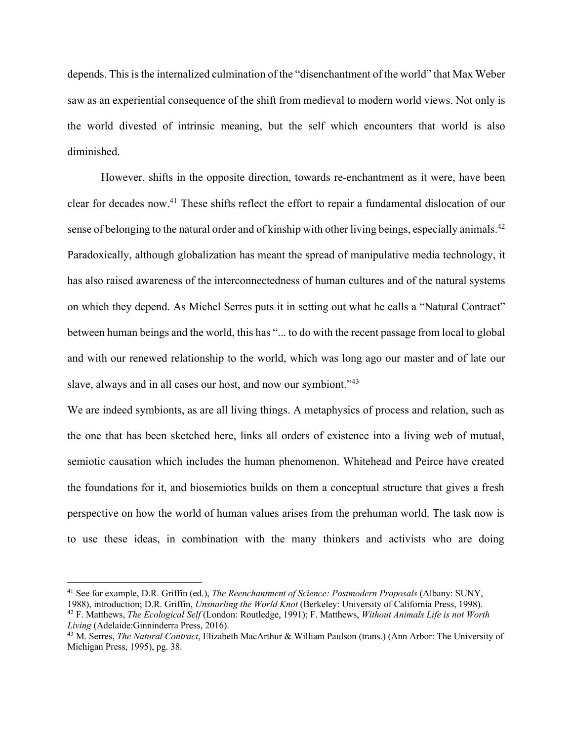depends. This isthe internalized culmination of the "disenchantment of the world" that Max Weber saw as an experiential consequence of the shift from medieval to modern world views. Not only is the world divested of intrinsic meaning, but the self which encounters that world is also diminished.

However, shifts in the opposite direction, towards re-enchantment as it were, have been clear for decades now. <sup>41</sup> These shifts reflect the effort to repair a fundamental dislocation of our sense of belonging to the natural order and of kinship with other living beings, especially animals.<sup>42</sup> Paradoxically, although globalization has meant the spread of manipulative media technology, it has also raised awareness of the interconnectedness of human cultures and of the natural systems on which they depend. As Michel Serres puts it in setting out what he calls a "Natural Contract" between human beings and the world, this has "... to do with the recent passage from local to global and with our renewed relationship to the world, which was long ago our master and of late our slave, always and in all cases our host, and now our symbiont."<sup>43</sup>

We are indeed symbionts, as are all living things. A metaphysics of process and relation, such as the one that has been sketched here, links all orders of existence into a living web of mutual, semiotic causation which includes the human phenomenon. Whitehead and Peirce have created the foundations for it, and biosemiotics builds on them a conceptual structure that gives a fresh perspective on how the world of human values arises from the prehuman world. The task now is to use these ideas, in combination with the many thinkers and activists who are doing

 $\overline{\phantom{a}}$ 

<sup>41</sup> See for example, D.R. Griffin (ed.), *The Reenchantment of Science: Postmodern Proposals* (Albany: SUNY, 1988), introduction; D.R. Griffin, *Unsnarling the World Knot* (Berkeley: University of California Press, 1998).

<sup>42</sup> F. Matthews, *The Ecological Self* (London: Routledge, 1991); F. Matthews, *Without Animals Life is not Worth Living* (Adelaide:Ginninderra Press, 2016).

<sup>43</sup> M. Serres, *The Natural Contract*, Elizabeth MacArthur & William Paulson (trans.) (Ann Arbor: The University of Michigan Press, 1995), pg. 38.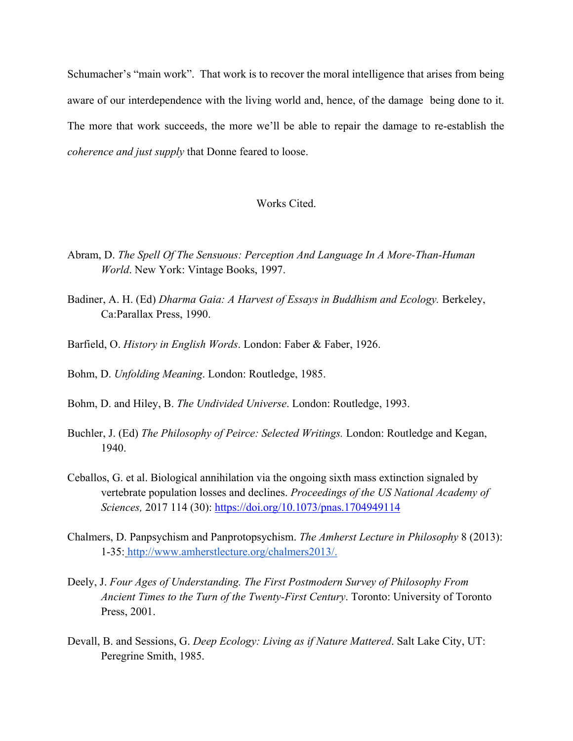Schumacher's "main work". That work is to recover the moral intelligence that arises from being aware of our interdependence with the living world and, hence, of the damage being done to it. The more that work succeeds, the more we'll be able to repair the damage to re-establish the *coherence and just supply* that Donne feared to loose.

## Works Cited.

- Abram, D. *The Spell Of The Sensuous: Perception And Language In A More-Than-Human World*. New York: Vintage Books, 1997.
- Badiner, A. H. (Ed) *Dharma Gaia: A Harvest of Essays in Buddhism and Ecology.* Berkeley, Ca:Parallax Press, 1990.
- Barfield, O. *History in English Words*. London: Faber & Faber, 1926.
- Bohm, D. *Unfolding Meaning*. London: Routledge, 1985.
- Bohm, D. and Hiley, B. *The Undivided Universe*. London: Routledge, 1993.
- Buchler, J. (Ed) *The Philosophy of Peirce: Selected Writings.* London: Routledge and Kegan, 1940.
- Ceballos, G. et al. Biological annihilation via the ongoing sixth mass extinction signaled by vertebrate population losses and declines. *Proceedings of the US National Academy of Sciences,* 2017 114 (30): https://doi.org/10.1073/pnas.1704949114
- Chalmers, D. Panpsychism and Panprotopsychism. *The Amherst Lecture in Philosophy* 8 (2013): 1-35: http://www.amherstlecture.org/chalmers2013/.
- Deely, J. *Four Ages of Understanding. The First Postmodern Survey of Philosophy From Ancient Times to the Turn of the Twenty-First Century*. Toronto: University of Toronto Press, 2001.
- Devall, B. and Sessions, G. *Deep Ecology: Living as if Nature Mattered*. Salt Lake City, UT: Peregrine Smith, 1985.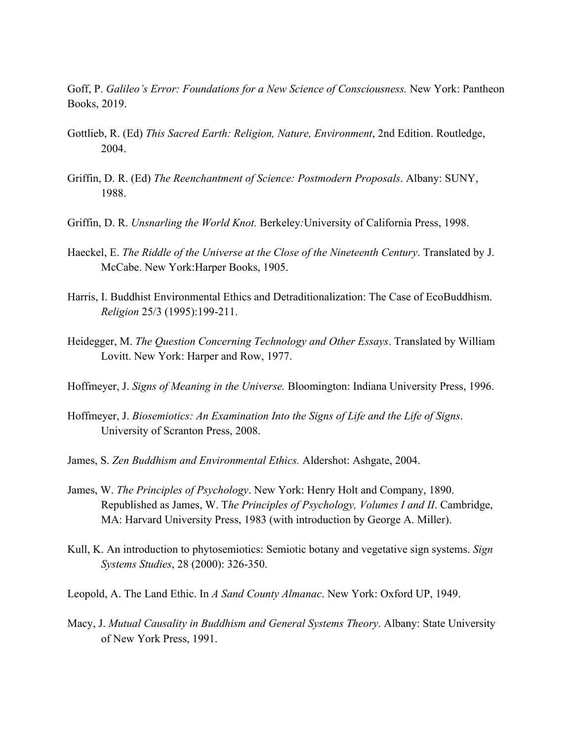Goff, P. *Galileo's Error: Foundations for a New Science of Consciousness.* New York: Pantheon Books, 2019.

- Gottlieb, R. (Ed) *This Sacred Earth: Religion, Nature, Environment*, 2nd Edition. Routledge, 2004.
- Griffin, D. R. (Ed) *The Reenchantment of Science: Postmodern Proposals*. Albany: SUNY, 1988.
- Griffin, D. R. *Unsnarling the World Knot.* Berkeley*:*University of California Press, 1998.
- Haeckel, E. *The Riddle of the Universe at the Close of the Nineteenth Century*. Translated by J. McCabe. New York:Harper Books, 1905.
- Harris, I. Buddhist Environmental Ethics and Detraditionalization: The Case of EcoBuddhism. *Religion* 25/3 (1995):199-211.
- Heidegger, M. *The Question Concerning Technology and Other Essays*. Translated by William Lovitt. New York: Harper and Row, 1977.
- Hoffmeyer, J. *Signs of Meaning in the Universe.* Bloomington: Indiana University Press, 1996.
- Hoffmeyer, J. *Biosemiotics: An Examination Into the Signs of Life and the Life of Signs*. University of Scranton Press, 2008.
- James, S. *Zen Buddhism and Environmental Ethics.* Aldershot: Ashgate, 2004.
- James, W. *The Principles of Psychology*. New York: Henry Holt and Company, 1890. Republished as James, W. T*he Principles of Psychology, Volumes I and II*. Cambridge, MA: Harvard University Press, 1983 (with introduction by George A. Miller).
- Kull, K. An introduction to phytosemiotics: Semiotic botany and vegetative sign systems. *Sign Systems Studies*, 28 (2000): 326-350.
- Leopold, A. The Land Ethic. In *A Sand County Almanac*. New York: Oxford UP, 1949.
- Macy, J. *Mutual Causality in Buddhism and General Systems Theory*. Albany: State University of New York Press, 1991.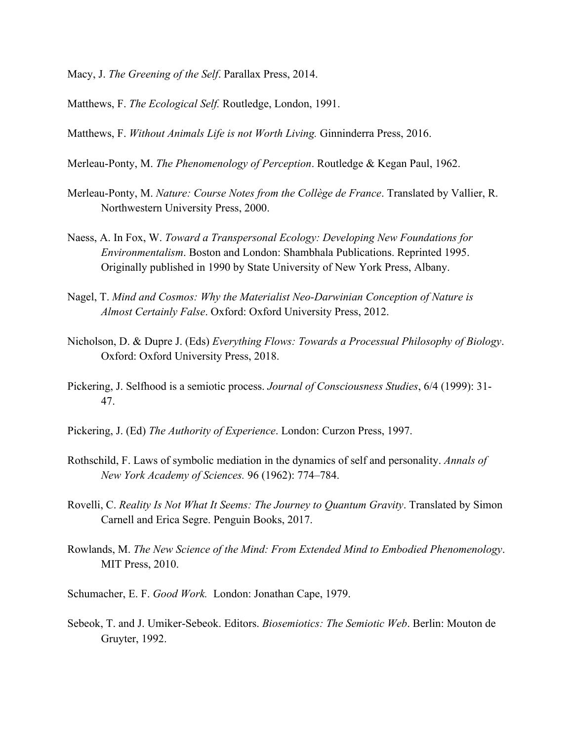- Macy, J. *The Greening of the Self*. Parallax Press, 2014.
- Matthews, F. *The Ecological Self.* Routledge, London, 1991.
- Matthews, F. *Without Animals Life is not Worth Living.* Ginninderra Press, 2016.
- Merleau-Ponty, M. *The Phenomenology of Perception*. Routledge & Kegan Paul, 1962.
- Merleau-Ponty, M. *Nature: Course Notes from the Collège de France*. Translated by Vallier, R. Northwestern University Press, 2000.
- Naess, A. In Fox, W. *Toward a Transpersonal Ecology: Developing New Foundations for Environmentalism*. Boston and London: Shambhala Publications. Reprinted 1995. Originally published in 1990 by State University of New York Press, Albany.
- Nagel, T. *Mind and Cosmos: Why the Materialist Neo-Darwinian Conception of Nature is Almost Certainly False*. Oxford: Oxford University Press, 2012.
- Nicholson, D. & Dupre J. (Eds) *Everything Flows: Towards a Processual Philosophy of Biology*. Oxford: Oxford University Press, 2018.
- Pickering, J. Selfhood is a semiotic process. *Journal of Consciousness Studies*, 6/4 (1999): 31- 47.
- Pickering, J. (Ed) *The Authority of Experience*. London: Curzon Press, 1997.
- Rothschild, F. Laws of symbolic mediation in the dynamics of self and personality. *Annals of New York Academy of Sciences.* 96 (1962): 774–784.
- Rovelli, C. *Reality Is Not What It Seems: The Journey to Quantum Gravity*. Translated by Simon Carnell and Erica Segre. Penguin Books, 2017.
- Rowlands, M. *The New Science of the Mind: From Extended Mind to Embodied Phenomenology*. MIT Press, 2010.
- Schumacher, E. F. *Good Work.* London: Jonathan Cape, 1979.
- Sebeok, T. and J. Umiker-Sebeok. Editors. *Biosemiotics: The Semiotic Web*. Berlin: Mouton de Gruyter, 1992.